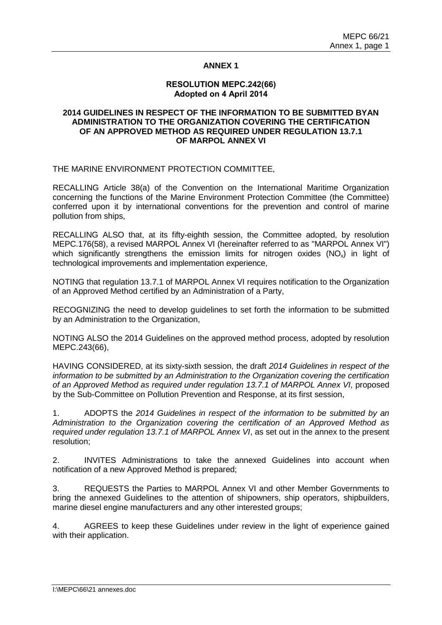## **ANNEX 1**

#### **RESOLUTION MEPC.242(66) Adopted on 4 April 2014**

## **2014 GUIDELINES IN RESPECT OF THE INFORMATION TO BE SUBMITTED BYAN ADMINISTRATION TO THE ORGANIZATION COVERING THE CERTIFICATION OF AN APPROVED METHOD AS REQUIRED UNDER REGULATION 13.7.1 OF MARPOL ANNEX VI**

#### THE MARINE ENVIRONMENT PROTECTION COMMITTEE,

RECALLING Article 38(a) of the Convention on the International Maritime Organization concerning the functions of the Marine Environment Protection Committee (the Committee) conferred upon it by international conventions for the prevention and control of marine pollution from ships,

RECALLING ALSO that, at its fifty-eighth session, the Committee adopted, by resolution MEPC.176(58), a revised MARPOL Annex VI (hereinafter referred to as "MARPOL Annex VI") which significantly strengthens the emission limits for nitrogen oxides  $(NO<sub>x</sub>)$  in light of technological improvements and implementation experience,

NOTING that regulation 13.7.1 of MARPOL Annex VI requires notification to the Organization of an Approved Method certified by an Administration of a Party,

RECOGNIZING the need to develop guidelines to set forth the information to be submitted by an Administration to the Organization,

NOTING ALSO the 2014 Guidelines on the approved method process, adopted by resolution MEPC.243(66),

HAVING CONSIDERED, at its sixty-sixth session, the draft *2014 Guidelines in respect of the information to be submitted by an Administration to the Organization covering the certification of an Approved Method as required under regulation 13.7.1 of MARPOL Annex VI*, proposed by the Sub-Committee on Pollution Prevention and Response, at its first session,

1. ADOPTS the *2014 Guidelines in respect of the information to be submitted by an Administration to the Organization covering the certification of an Approved Method as required under regulation 13.7.1 of MARPOL Annex VI*, as set out in the annex to the present resolution;

2. INVITES Administrations to take the annexed Guidelines into account when notification of a new Approved Method is prepared;

3. REQUESTS the Parties to MARPOL Annex VI and other Member Governments to bring the annexed Guidelines to the attention of shipowners, ship operators, shipbuilders, marine diesel engine manufacturers and any other interested groups;

4. AGREES to keep these Guidelines under review in the light of experience gained with their application.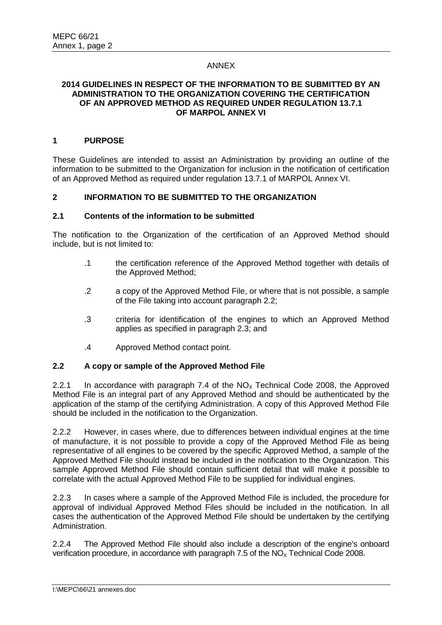## ANNEX

#### **2014 GUIDELINES IN RESPECT OF THE INFORMATION TO BE SUBMITTED BY AN ADMINISTRATION TO THE ORGANIZATION COVERING THE CERTIFICATION OF AN APPROVED METHOD AS REQUIRED UNDER REGULATION 13.7.1 OF MARPOL ANNEX VI**

## **1 PURPOSE**

These Guidelines are intended to assist an Administration by providing an outline of the information to be submitted to the Organization for inclusion in the notification of certification of an Approved Method as required under regulation 13.7.1 of MARPOL Annex VI.

## **2 INFORMATION TO BE SUBMITTED TO THE ORGANIZATION**

#### **2.1 Contents of the information to be submitted**

The notification to the Organization of the certification of an Approved Method should include, but is not limited to:

- .1 the certification reference of the Approved Method together with details of the Approved Method;
- .2 a copy of the Approved Method File, or where that is not possible, a sample of the File taking into account paragraph 2.2;
- .3 criteria for identification of the engines to which an Approved Method applies as specified in paragraph 2.3; and
- .4 Approved Method contact point.

## **2.2 A copy or sample of the Approved Method File**

2.2.1 In accordance with paragraph 7.4 of the  $NO<sub>x</sub>$  Technical Code 2008, the Approved Method File is an integral part of any Approved Method and should be authenticated by the application of the stamp of the certifying Administration. A copy of this Approved Method File should be included in the notification to the Organization.

2.2.2 However, in cases where, due to differences between individual engines at the time of manufacture, it is not possible to provide a copy of the Approved Method File as being representative of all engines to be covered by the specific Approved Method, a sample of the Approved Method File should instead be included in the notification to the Organization. This sample Approved Method File should contain sufficient detail that will make it possible to correlate with the actual Approved Method File to be supplied for individual engines.

2.2.3 In cases where a sample of the Approved Method File is included, the procedure for approval of individual Approved Method Files should be included in the notification. In all cases the authentication of the Approved Method File should be undertaken by the certifying Administration.

2.2.4 The Approved Method File should also include a description of the engine's onboard verification procedure, in accordance with paragraph 7.5 of the  $NO<sub>x</sub>$  Technical Code 2008.